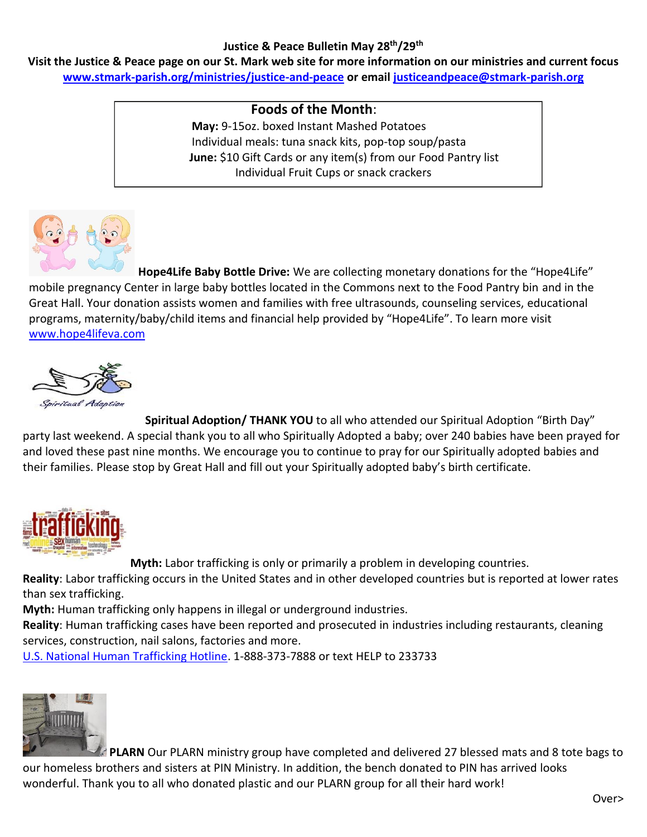## **Justice & Peace Bulletin May 28 th/29th**

**Visit the Justice & Peace page on our St. Mark web site for more information on our ministries and current focus [www.stmark-parish.org/ministries/justice-and-peace](file:///C:/Users/Nanna/Desktop/www.stmark-parish.org/ministries/justice-and-peace) or email [justiceandpeace@stmark-parish.org](mailto:justiceandpeace@stmark-parish.org)**

## **Foods of the Month**:

**May:** 9-15oz. boxed Instant Mashed Potatoes Individual meals: tuna snack kits, pop-top soup/pasta  **June:** \$10 Gift Cards or any item(s) from our Food Pantry list Individual Fruit Cups or snack crackers



**Hope4Life Baby Bottle Drive:** We are collecting monetary donations for the "Hope4Life" mobile pregnancy Center in large baby bottles located in the Commons next to the Food Pantry bin and in the Great Hall. Your donation assists women and families with free ultrasounds, counseling services, educational programs, maternity/baby/child items and financial help provided by "Hope4Life". To learn more visit [www.hope4lifeva.com](http://www.hope4lifeva.com/)



**Spiritual Adoption/ THANK YOU** to all who attended our Spiritual Adoption "Birth Day" party last weekend. A special thank you to all who Spiritually Adopted a baby; over 240 babies have been prayed for and loved these past nine months. We encourage you to continue to pray for our Spiritually adopted babies and their families. Please stop by Great Hall and fill out your Spiritually adopted baby's birth certificate.



**Myth:** Labor trafficking is only or primarily a problem in developing countries.

**Reality**: Labor trafficking occurs in the United States and in other developed countries but is reported at lower rates than sex trafficking.

**Myth:** Human trafficking only happens in illegal or underground industries.

**Reality**: Human trafficking cases have been reported and prosecuted in industries including restaurants, cleaning services, construction, nail salons, factories and more.

[U.S. National Human Trafficking Hotline.](http://www.humantraffickinghotline.org/) 1-888-373-7888 or text HELP to 233733



**PLARN** Our PLARN ministry group have completed and delivered 27 blessed mats and 8 tote bags to our homeless brothers and sisters at PIN Ministry. In addition, the bench donated to PIN has arrived looks wonderful. Thank you to all who donated plastic and our PLARN group for all their hard work!